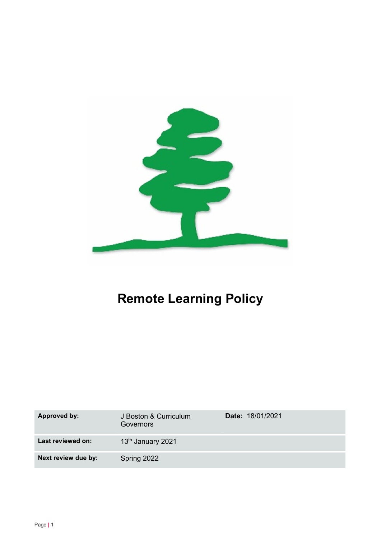

# Remote Learning Policy

| <b>Approved by:</b> | J Boston & Curriculum<br>Governors | <b>Date: 18/01/2021</b> |
|---------------------|------------------------------------|-------------------------|
| Last reviewed on:   | 13 <sup>th</sup> January 2021      |                         |
| Next review due by: | Spring 2022                        |                         |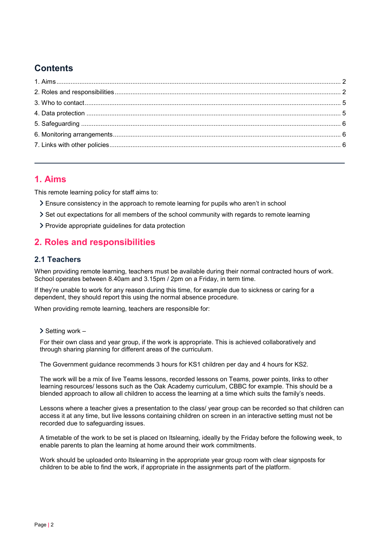# **Contents**

# 1. Aims

This remote learning policy for staff aims to:

- Ensure consistency in the approach to remote learning for pupils who aren't in school
- Set out expectations for all members of the school community with regards to remote learning
- Provide appropriate guidelines for data protection

# 2. Roles and responsibilities

## 2.1 Teachers

When providing remote learning, teachers must be available during their normal contracted hours of work. School operates between 8.40am and 3.15pm / 2pm on a Friday, in term time.

If they're unable to work for any reason during this time, for example due to sickness or caring for a dependent, they should report this using the normal absence procedure.

When providing remote learning, teachers are responsible for:

 $\geq$  Setting work –

For their own class and year group, if the work is appropriate. This is achieved collaboratively and through sharing planning for different areas of the curriculum.

The Government guidance recommends 3 hours for KS1 children per day and 4 hours for KS2.

The work will be a mix of live Teams lessons, recorded lessons on Teams, power points, links to other learning resources/ lessons such as the Oak Academy curriculum, CBBC for example. This should be a blended approach to allow all children to access the learning at a time which suits the family's needs.

Lessons where a teacher gives a presentation to the class/ year group can be recorded so that children can access it at any time, but live lessons containing children on screen in an interactive setting must not be recorded due to safeguarding issues.

A timetable of the work to be set is placed on Itslearning, ideally by the Friday before the following week, to enable parents to plan the learning at home around their work commitments.

Work should be uploaded onto Itslearning in the appropriate year group room with clear signposts for children to be able to find the work, if appropriate in the assignments part of the platform.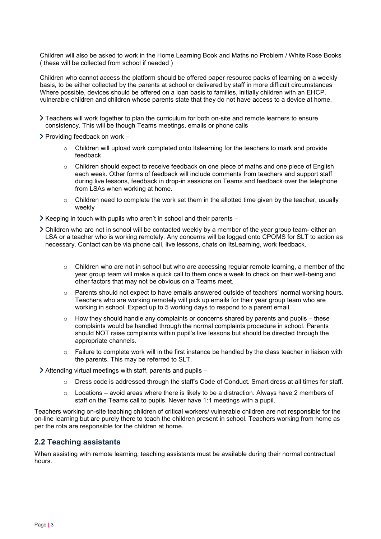Children will also be asked to work in the Home Learning Book and Maths no Problem / White Rose Books ( these will be collected from school if needed )

Children who cannot access the platform should be offered paper resource packs of learning on a weekly basis, to be either collected by the parents at school or delivered by staff in more difficult circumstances Where possible, devices should be offered on a loan basis to families, initially children with an EHCP, vulnerable children and children whose parents state that they do not have access to a device at home.

 Teachers will work together to plan the curriculum for both on-site and remote learners to ensure consistency. This will be though Teams meetings, emails or phone calls

 $\triangleright$  Providing feedback on work –

- $\circ$  Children will upload work completed onto Itslearning for the teachers to mark and provide feedback
- $\circ$  Children should expect to receive feedback on one piece of maths and one piece of English each week. Other forms of feedback will include comments from teachers and support staff during live lessons, feedback in drop-in sessions on Teams and feedback over the telephone from LSAs when working at home.
- $\circ$  Children need to complete the work set them in the allotted time given by the teacher, usually weekly
- $\triangleright$  Keeping in touch with pupils who aren't in school and their parents –
- Children who are not in school will be contacted weekly by a member of the year group team- either an LSA or a teacher who is working remotely. Any concerns will be logged onto CPOMS for SLT to action as necessary. Contact can be via phone call, live lessons, chats on ItsLearning, work feedback.
	- $\circ$  Children who are not in school but who are accessing regular remote learning, a member of the year group team will make a quick call to them once a week to check on their well-being and other factors that may not be obvious on a Teams meet.
	- $\circ$  Parents should not expect to have emails answered outside of teachers' normal working hours. Teachers who are working remotely will pick up emails for their year group team who are working in school. Expect up to 5 working days to respond to a parent email.
	- o How they should handle any complaints or concerns shared by parents and pupils these complaints would be handled through the normal complaints procedure in school. Parents should NOT raise complaints within pupil's live lessons but should be directed through the appropriate channels.
	- $\circ$  Failure to complete work will in the first instance be handled by the class teacher in liaison with the parents. This may be referred to SLT.

 $\geq$  Attending virtual meetings with staff, parents and pupils –

- o Dress code is addressed through the staff's Code of Conduct. Smart dress at all times for staff.
- $\circ$  Locations avoid areas where there is likely to be a distraction. Always have 2 members of staff on the Teams call to pupils. Never have 1:1 meetings with a pupil.

Teachers working on-site teaching children of critical workers/ vulnerable children are not responsible for the on-line learning but are purely there to teach the children present in school. Teachers working from home as per the rota are responsible for the children at home.

#### 2.2 Teaching assistants

When assisting with remote learning, teaching assistants must be available during their normal contractual hours.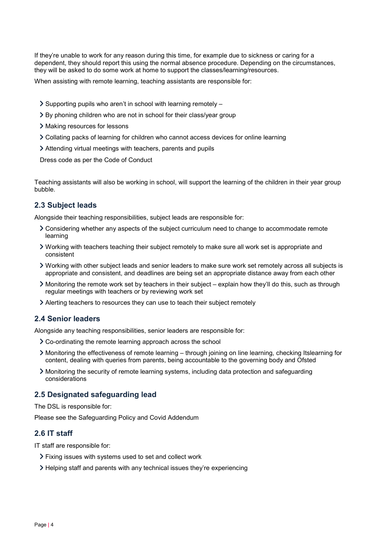If they're unable to work for any reason during this time, for example due to sickness or caring for a dependent, they should report this using the normal absence procedure. Depending on the circumstances, they will be asked to do some work at home to support the classes/learning/resources.

When assisting with remote learning, teaching assistants are responsible for:

- $\geq$  Supporting pupils who aren't in school with learning remotely –
- By phoning children who are not in school for their class/year group
- Making resources for lessons
- Collating packs of learning for children who cannot access devices for online learning
- Attending virtual meetings with teachers, parents and pupils

Dress code as per the Code of Conduct

Teaching assistants will also be working in school, will support the learning of the children in their year group bubble.

## 2.3 Subject leads

Alongside their teaching responsibilities, subject leads are responsible for:

- Considering whether any aspects of the subject curriculum need to change to accommodate remote learning
- Working with teachers teaching their subject remotely to make sure all work set is appropriate and consistent
- Working with other subject leads and senior leaders to make sure work set remotely across all subjects is appropriate and consistent, and deadlines are being set an appropriate distance away from each other
- Monitoring the remote work set by teachers in their subject explain how they'll do this, such as through regular meetings with teachers or by reviewing work set
- Alerting teachers to resources they can use to teach their subject remotely

### 2.4 Senior leaders

Alongside any teaching responsibilities, senior leaders are responsible for:

- Co-ordinating the remote learning approach across the school
- Monitoring the effectiveness of remote learning through joining on line learning, checking Itslearning for content, dealing with queries from parents, being accountable to the governing body and Ofsted
- Monitoring the security of remote learning systems, including data protection and safeguarding considerations

#### 2.5 Designated safeguarding lead

The DSL is responsible for:

Please see the Safeguarding Policy and Covid Addendum

#### 2.6 IT staff

IT staff are responsible for:

- Fixing issues with systems used to set and collect work
- Helping staff and parents with any technical issues they're experiencing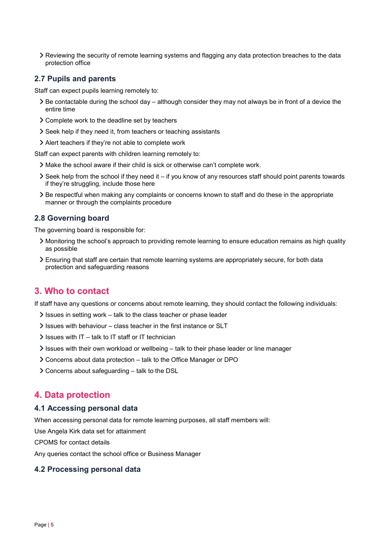Reviewing the security of remote learning systems and flagging any data protection breaches to the data protection office

#### 2.7 Pupils and parents

Staff can expect pupils learning remotely to:

- $\geq$  Be contactable during the school day although consider they may not always be in front of a device the entire time
- Complete work to the deadline set by teachers
- Seek help if they need it, from teachers or teaching assistants
- Alert teachers if they're not able to complete work

Staff can expect parents with children learning remotely to:

- Make the school aware if their child is sick or otherwise can't complete work.
- $\geq$  Seek help from the school if they need it if you know of any resources staff should point parents towards if they're struggling, include those here
- Be respectful when making any complaints or concerns known to staff and do these in the appropriate manner or through the complaints procedure

#### 2.8 Governing board

The governing board is responsible for:

- Monitoring the school's approach to providing remote learning to ensure education remains as high quality as possible
- Ensuring that staff are certain that remote learning systems are appropriately secure, for both data protection and safeguarding reasons

# 3. Who to contact

If staff have any questions or concerns about remote learning, they should contact the following individuals:

- $\ge$  Issues in setting work talk to the class teacher or phase leader
- $\ge$  Issues with behaviour class teacher in the first instance or SLT
- $\ge$  Issues with IT talk to IT staff or IT technician
- $\ge$  Issues with their own workload or wellbeing talk to their phase leader or line manager
- Concerns about data protection talk to the Office Manager or DPO
- Concerns about safeguarding talk to the DSL

# 4. Data protection

#### 4.1 Accessing personal data

When accessing personal data for remote learning purposes, all staff members will:

Use Angela Kirk data set for attainment

CPOMS for contact details

Any queries contact the school office or Business Manager

#### 4.2 Processing personal data